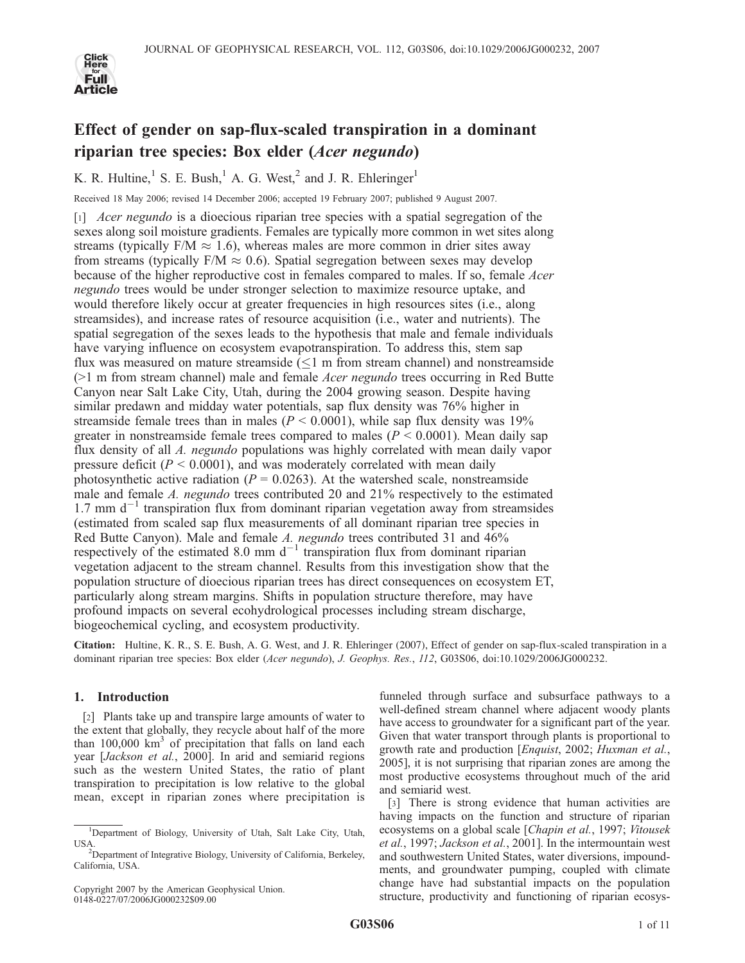

# Effect of gender on sap-flux-scaled transpiration in a dominant riparian tree species: Box elder (Acer negundo)

K. R. Hultine,<sup>1</sup> S. E. Bush,<sup>1</sup> A. G. West,<sup>2</sup> and J. R. Ehleringer<sup>1</sup>

Received 18 May 2006; revised 14 December 2006; accepted 19 February 2007; published 9 August 2007.

 $\lceil 1 \rceil$  *Acer negundo* is a dioecious riparian tree species with a spatial segregation of the sexes along soil moisture gradients. Females are typically more common in wet sites along streams (typically  $F/M \approx 1.6$ ), whereas males are more common in drier sites away from streams (typically  $F/M \approx 0.6$ ). Spatial segregation between sexes may develop because of the higher reproductive cost in females compared to males. If so, female Acer negundo trees would be under stronger selection to maximize resource uptake, and would therefore likely occur at greater frequencies in high resources sites (i.e., along streamsides), and increase rates of resource acquisition (i.e., water and nutrients). The spatial segregation of the sexes leads to the hypothesis that male and female individuals have varying influence on ecosystem evapotranspiration. To address this, stem sap flux was measured on mature streamside  $(\leq 1$  m from stream channel) and nonstreamside  $(>1$  m from stream channel) male and female *Acer negundo* trees occurring in Red Butte Canyon near Salt Lake City, Utah, during the 2004 growing season. Despite having similar predawn and midday water potentials, sap flux density was 76% higher in streamside female trees than in males ( $P < 0.0001$ ), while sap flux density was 19% greater in nonstreamside female trees compared to males ( $P \le 0.0001$ ). Mean daily sap flux density of all A. negundo populations was highly correlated with mean daily vapor pressure deficit ( $P \le 0.0001$ ), and was moderately correlated with mean daily photosynthetic active radiation ( $P = 0.0263$ ). At the watershed scale, nonstreamside male and female A. negundo trees contributed 20 and 21% respectively to the estimated 1.7 mm  $d^{-1}$  transpiration flux from dominant riparian vegetation away from streamsides (estimated from scaled sap flux measurements of all dominant riparian tree species in Red Butte Canyon). Male and female A. negundo trees contributed 31 and 46% respectively of the estimated 8.0 mm  $d^{-1}$  transpiration flux from dominant riparian vegetation adjacent to the stream channel. Results from this investigation show that the population structure of dioecious riparian trees has direct consequences on ecosystem ET, particularly along stream margins. Shifts in population structure therefore, may have profound impacts on several ecohydrological processes including stream discharge, biogeochemical cycling, and ecosystem productivity.

Citation: Hultine, K. R., S. E. Bush, A. G. West, and J. R. Ehleringer (2007), Effect of gender on sap-flux-scaled transpiration in a dominant riparian tree species: Box elder (Acer negundo), J. Geophys. Res., 112, G03S06, doi:10.1029/2006JG000232.

# 1. Introduction

[2] Plants take up and transpire large amounts of water to the extent that globally, they recycle about half of the more than  $100,000 \text{ km}^3$  of precipitation that falls on land each year [Jackson et al., 2000]. In arid and semiarid regions such as the western United States, the ratio of plant transpiration to precipitation is low relative to the global mean, except in riparian zones where precipitation is

funneled through surface and subsurface pathways to a well-defined stream channel where adjacent woody plants have access to groundwater for a significant part of the year. Given that water transport through plants is proportional to growth rate and production [Enquist, 2002; Huxman et al., 2005], it is not surprising that riparian zones are among the most productive ecosystems throughout much of the arid and semiarid west.

[3] There is strong evidence that human activities are having impacts on the function and structure of riparian ecosystems on a global scale [Chapin et al., 1997; Vitousek et al., 1997; Jackson et al., 2001]. In the intermountain west and southwestern United States, water diversions, impoundments, and groundwater pumping, coupled with climate change have had substantial impacts on the population structure, productivity and functioning of riparian ecosys-

<sup>&</sup>lt;sup>1</sup>Department of Biology, University of Utah, Salt Lake City, Utah, USA.

<sup>&</sup>lt;sup>2</sup>Department of Integrative Biology, University of California, Berkeley, California, USA.

Copyright 2007 by the American Geophysical Union. 0148-0227/07/2006JG000232\$09.00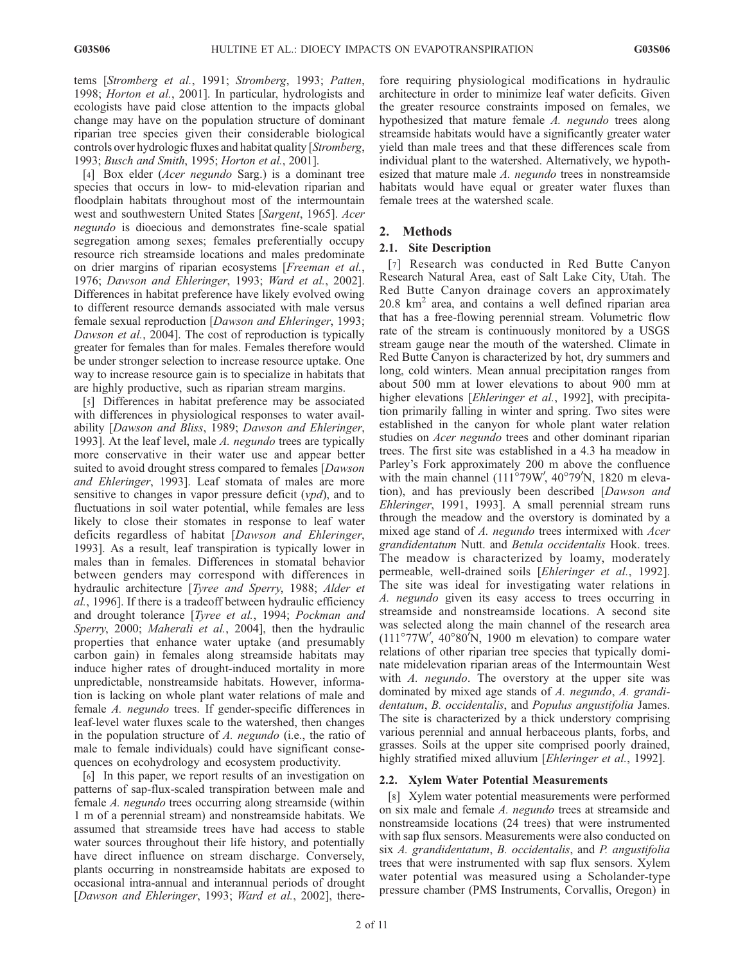tems [Stromberg et al., 1991; Stromberg, 1993; Patten, 1998; Horton et al., 2001]. In particular, hydrologists and ecologists have paid close attention to the impacts global change may have on the population structure of dominant riparian tree species given their considerable biological controls over hydrologic fluxes and habitat quality [Stromberg, 1993; Busch and Smith, 1995; Horton et al., 2001].

[4] Box elder (Acer negundo Sarg.) is a dominant tree species that occurs in low- to mid-elevation riparian and floodplain habitats throughout most of the intermountain west and southwestern United States [Sargent, 1965]. Acer negundo is dioecious and demonstrates fine-scale spatial segregation among sexes; females preferentially occupy resource rich streamside locations and males predominate on drier margins of riparian ecosystems [Freeman et al., 1976; Dawson and Ehleringer, 1993; Ward et al., 2002]. Differences in habitat preference have likely evolved owing to different resource demands associated with male versus female sexual reproduction [Dawson and Ehleringer, 1993; Dawson et al., 2004]. The cost of reproduction is typically greater for females than for males. Females therefore would be under stronger selection to increase resource uptake. One way to increase resource gain is to specialize in habitats that are highly productive, such as riparian stream margins.

[5] Differences in habitat preference may be associated with differences in physiological responses to water availability [Dawson and Bliss, 1989; Dawson and Ehleringer, 1993]. At the leaf level, male A. negundo trees are typically more conservative in their water use and appear better suited to avoid drought stress compared to females [Dawson] and Ehleringer, 1993]. Leaf stomata of males are more sensitive to changes in vapor pressure deficit  $(vpd)$ , and to fluctuations in soil water potential, while females are less likely to close their stomates in response to leaf water deficits regardless of habitat [Dawson and Ehleringer, 1993]. As a result, leaf transpiration is typically lower in males than in females. Differences in stomatal behavior between genders may correspond with differences in hydraulic architecture [Tyree and Sperry, 1988; Alder et al., 1996]. If there is a tradeoff between hydraulic efficiency and drought tolerance [Tyree et al., 1994; Pockman and Sperry, 2000; Maherali et al., 2004], then the hydraulic properties that enhance water uptake (and presumably carbon gain) in females along streamside habitats may induce higher rates of drought-induced mortality in more unpredictable, nonstreamside habitats. However, information is lacking on whole plant water relations of male and female A. negundo trees. If gender-specific differences in leaf-level water fluxes scale to the watershed, then changes in the population structure of A. negundo (i.e., the ratio of male to female individuals) could have significant consequences on ecohydrology and ecosystem productivity.

[6] In this paper, we report results of an investigation on patterns of sap-flux-scaled transpiration between male and female A. negundo trees occurring along streamside (within 1 m of a perennial stream) and nonstreamside habitats. We assumed that streamside trees have had access to stable water sources throughout their life history, and potentially have direct influence on stream discharge. Conversely, plants occurring in nonstreamside habitats are exposed to occasional intra-annual and interannual periods of drought [Dawson and Ehleringer, 1993; Ward et al., 2002], there-

fore requiring physiological modifications in hydraulic architecture in order to minimize leaf water deficits. Given the greater resource constraints imposed on females, we hypothesized that mature female A. negundo trees along streamside habitats would have a significantly greater water yield than male trees and that these differences scale from individual plant to the watershed. Alternatively, we hypothesized that mature male A. negundo trees in nonstreamside habitats would have equal or greater water fluxes than female trees at the watershed scale.

# 2. Methods

# 2.1. Site Description

[7] Research was conducted in Red Butte Canyon Research Natural Area, east of Salt Lake City, Utah. The Red Butte Canyon drainage covers an approximately  $20.8 \text{ km}^2$  area, and contains a well defined riparian area that has a free-flowing perennial stream. Volumetric flow rate of the stream is continuously monitored by a USGS stream gauge near the mouth of the watershed. Climate in Red Butte Canyon is characterized by hot, dry summers and long, cold winters. Mean annual precipitation ranges from about 500 mm at lower elevations to about 900 mm at higher elevations [*Ehleringer et al.,* 1992], with precipitation primarily falling in winter and spring. Two sites were established in the canyon for whole plant water relation studies on *Acer negundo* trees and other dominant riparian trees. The first site was established in a 4.3 ha meadow in Parley's Fork approximately 200 m above the confluence with the main channel  $(111^{\circ}79W, 40^{\circ}79'N, 1820$  m elevation), and has previously been described [Dawson and Ehleringer, 1991, 1993]. A small perennial stream runs through the meadow and the overstory is dominated by a mixed age stand of A. negundo trees intermixed with Acer grandidentatum Nutt. and Betula occidentalis Hook. trees. The meadow is characterized by loamy, moderately permeable, well-drained soils [Ehleringer et al., 1992]. The site was ideal for investigating water relations in A. negundo given its easy access to trees occurring in streamside and nonstreamside locations. A second site was selected along the main channel of the research area  $(111^{\circ}77W', 40^{\circ}80'N, 1900 \text{ m}$  elevation) to compare water relations of other riparian tree species that typically dominate midelevation riparian areas of the Intermountain West with A. negundo. The overstory at the upper site was dominated by mixed age stands of A. negundo, A. grandidentatum, B. occidentalis, and Populus angustifolia James. The site is characterized by a thick understory comprising various perennial and annual herbaceous plants, forbs, and grasses. Soils at the upper site comprised poorly drained, highly stratified mixed alluvium [Ehleringer et al., 1992].

## 2.2. Xylem Water Potential Measurements

[8] Xylem water potential measurements were performed on six male and female A. negundo trees at streamside and nonstreamside locations (24 trees) that were instrumented with sap flux sensors. Measurements were also conducted on six A. grandidentatum, B. occidentalis, and P. angustifolia trees that were instrumented with sap flux sensors. Xylem water potential was measured using a Scholander-type pressure chamber (PMS Instruments, Corvallis, Oregon) in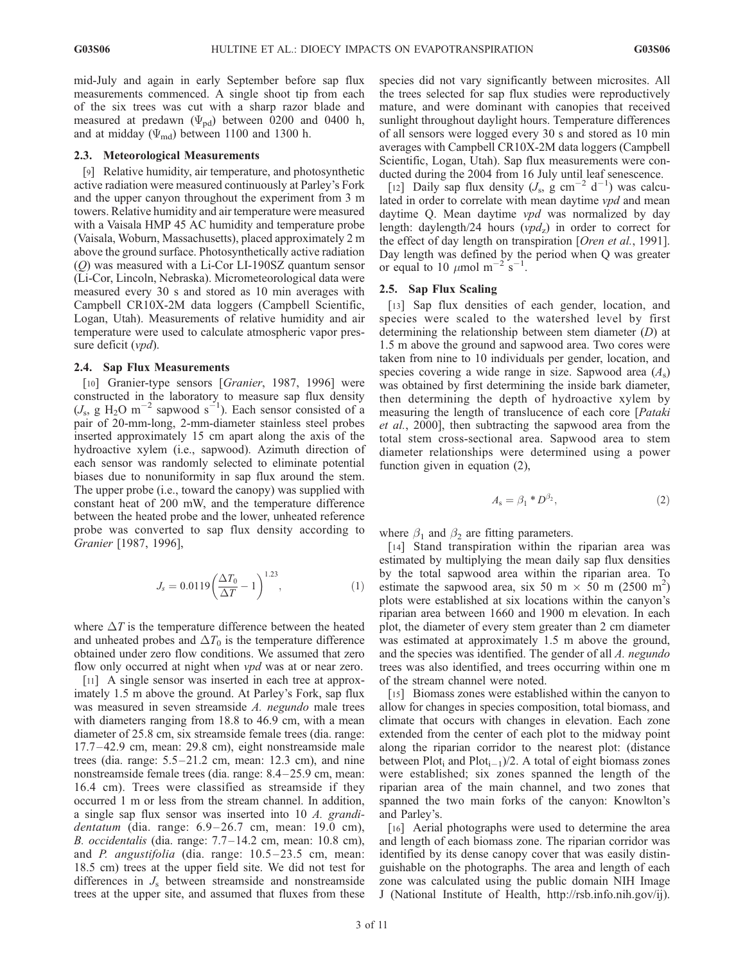mid-July and again in early September before sap flux measurements commenced. A single shoot tip from each of the six trees was cut with a sharp razor blade and measured at predawn ( $\Psi_{\text{pd}}$ ) between 0200 and 0400 h, and at midday ( $\Psi_{\text{md}}$ ) between 1100 and 1300 h.

#### 2.3. Meteorological Measurements

[9] Relative humidity, air temperature, and photosynthetic active radiation were measured continuously at Parley's Fork and the upper canyon throughout the experiment from 3 m towers. Relative humidity and air temperature were measured with a Vaisala HMP 45 AC humidity and temperature probe (Vaisala, Woburn, Massachusetts), placed approximately 2 m above the ground surface. Photosynthetically active radiation (Q) was measured with a Li-Cor LI-190SZ quantum sensor (Li-Cor, Lincoln, Nebraska). Micrometeorological data were measured every 30 s and stored as 10 min averages with Campbell CR10X-2M data loggers (Campbell Scientific, Logan, Utah). Measurements of relative humidity and air temperature were used to calculate atmospheric vapor pressure deficit (*vpd*).

#### 2.4. Sap Flux Measurements

[10] Granier-type sensors [Granier, 1987, 1996] were constructed in the laboratory to measure sap flux density  $(J_s, g H_2O m^{-2}$  sapwood s<sup>-1</sup>). Each sensor consisted of a pair of 20-mm-long, 2-mm-diameter stainless steel probes inserted approximately 15 cm apart along the axis of the hydroactive xylem (i.e., sapwood). Azimuth direction of each sensor was randomly selected to eliminate potential biases due to nonuniformity in sap flux around the stem. The upper probe (i.e., toward the canopy) was supplied with constant heat of 200 mW, and the temperature difference between the heated probe and the lower, unheated reference probe was converted to sap flux density according to Granier [1987, 1996],

$$
J_s = 0.0119 \left( \frac{\Delta T_0}{\Delta T} - 1 \right)^{1.23},\tag{1}
$$

where  $\Delta T$  is the temperature difference between the heated and unheated probes and  $\Delta T_0$  is the temperature difference obtained under zero flow conditions. We assumed that zero flow only occurred at night when *vpd* was at or near zero.

[11] A single sensor was inserted in each tree at approximately 1.5 m above the ground. At Parley's Fork, sap flux was measured in seven streamside A. negundo male trees with diameters ranging from 18.8 to 46.9 cm, with a mean diameter of 25.8 cm, six streamside female trees (dia. range: 17.7 – 42.9 cm, mean: 29.8 cm), eight nonstreamside male trees (dia. range:  $5.5-21.2$  cm, mean: 12.3 cm), and nine nonstreamside female trees (dia. range: 8.4–25.9 cm, mean: 16.4 cm). Trees were classified as streamside if they occurred 1 m or less from the stream channel. In addition, a single sap flux sensor was inserted into 10 A. grandidentatum (dia. range:  $6.9-26.7$  cm, mean: 19.0 cm), B. occidentalis (dia. range: 7.7 –14.2 cm, mean: 10.8 cm), and  $P$ . angustifolia (dia. range:  $10.5 - 23.5$  cm, mean: 18.5 cm) trees at the upper field site. We did not test for differences in  $J<sub>s</sub>$  between streamside and nonstreamside trees at the upper site, and assumed that fluxes from these species did not vary significantly between microsites. All the trees selected for sap flux studies were reproductively mature, and were dominant with canopies that received sunlight throughout daylight hours. Temperature differences of all sensors were logged every 30 s and stored as 10 min averages with Campbell CR10X-2M data loggers (Campbell Scientific, Logan, Utah). Sap flux measurements were conducted during the 2004 from 16 July until leaf senescence.

[12] Daily sap flux density  $(J_s, g \text{ cm}^{-2} \text{ d}^{-1})$  was calculated in order to correlate with mean daytime vpd and mean daytime Q. Mean daytime *vpd* was normalized by day length: daylength/24 hours  $(vpd<sub>z</sub>)$  in order to correct for the effect of day length on transpiration [Oren et al., 1991]. Day length was defined by the period when Q was greater or equal to 10  $\mu$ mol m<sup>-2</sup> s<sup>-1</sup>.

#### 2.5. Sap Flux Scaling

[13] Sap flux densities of each gender, location, and species were scaled to the watershed level by first determining the relationship between stem diameter (D) at 1.5 m above the ground and sapwood area. Two cores were taken from nine to 10 individuals per gender, location, and species covering a wide range in size. Sapwood area  $(A_s)$ was obtained by first determining the inside bark diameter, then determining the depth of hydroactive xylem by measuring the length of translucence of each core [Pataki et al., 2000], then subtracting the sapwood area from the total stem cross-sectional area. Sapwood area to stem diameter relationships were determined using a power function given in equation (2),

$$
A_{\rm s} = \beta_1 * D^{\beta_2},\tag{2}
$$

where  $\beta_1$  and  $\beta_2$  are fitting parameters.

[14] Stand transpiration within the riparian area was estimated by multiplying the mean daily sap flux densities by the total sapwood area within the riparian area. To estimate the sapwood area, six 50 m  $\times$  50 m (2500 m<sup>2</sup>) plots were established at six locations within the canyon's riparian area between 1660 and 1900 m elevation. In each plot, the diameter of every stem greater than 2 cm diameter was estimated at approximately 1.5 m above the ground, and the species was identified. The gender of all A. negundo trees was also identified, and trees occurring within one m of the stream channel were noted.

[15] Biomass zones were established within the canyon to allow for changes in species composition, total biomass, and climate that occurs with changes in elevation. Each zone extended from the center of each plot to the midway point along the riparian corridor to the nearest plot: (distance between Plot<sub>i</sub> and Plot<sub>i-1</sub>)/2. A total of eight biomass zones were established; six zones spanned the length of the riparian area of the main channel, and two zones that spanned the two main forks of the canyon: Knowlton's and Parley's.

[16] Aerial photographs were used to determine the area and length of each biomass zone. The riparian corridor was identified by its dense canopy cover that was easily distinguishable on the photographs. The area and length of each zone was calculated using the public domain NIH Image J (National Institute of Health, http://rsb.info.nih.gov/ij).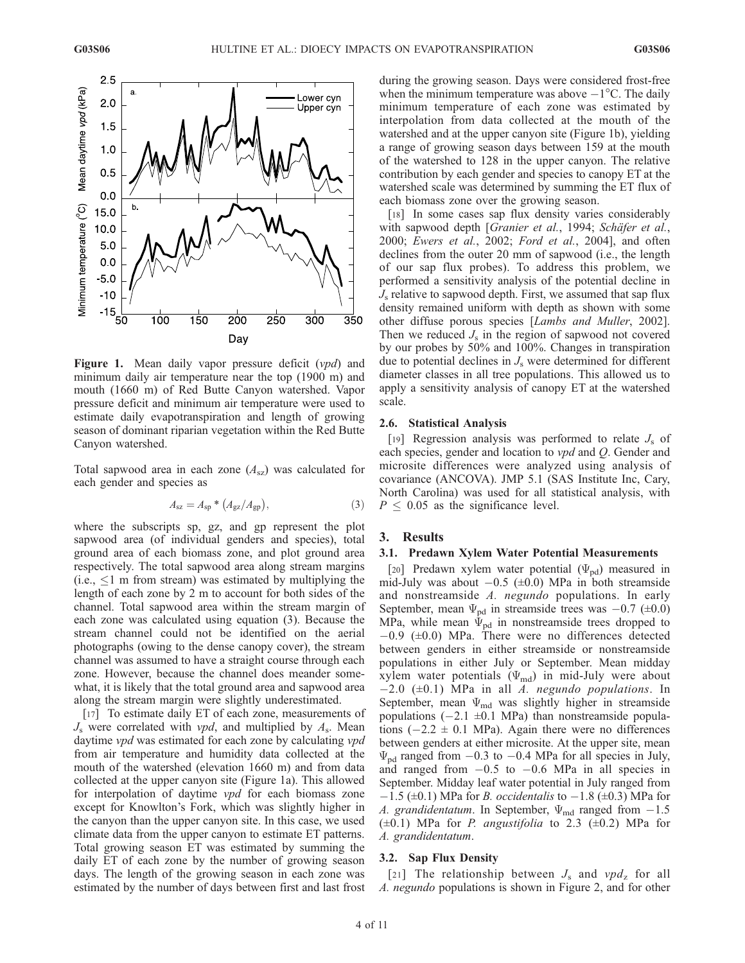

**Figure 1.** Mean daily vapor pressure deficit  $(vpd)$  and minimum daily air temperature near the top (1900 m) and mouth (1660 m) of Red Butte Canyon watershed. Vapor pressure deficit and minimum air temperature were used to estimate daily evapotranspiration and length of growing season of dominant riparian vegetation within the Red Butte Canyon watershed.

Total sapwood area in each zone  $(A_{sz})$  was calculated for each gender and species as

$$
A_{\rm sz} = A_{\rm sp} * (A_{\rm gz}/A_{\rm gp}),\tag{3}
$$

where the subscripts sp, gz, and gp represent the plot sapwood area (of individual genders and species), total ground area of each biomass zone, and plot ground area respectively. The total sapwood area along stream margins  $(i.e.,  $\leq 1$  m from stream) was estimated by multiplying the$ length of each zone by 2 m to account for both sides of the channel. Total sapwood area within the stream margin of each zone was calculated using equation (3). Because the stream channel could not be identified on the aerial photographs (owing to the dense canopy cover), the stream channel was assumed to have a straight course through each zone. However, because the channel does meander somewhat, it is likely that the total ground area and sapwood area along the stream margin were slightly underestimated.

[17] To estimate daily ET of each zone, measurements of  $J_s$  were correlated with *vpd*, and multiplied by  $A_s$ . Mean daytime *vpd* was estimated for each zone by calculating *vpd* from air temperature and humidity data collected at the mouth of the watershed (elevation 1660 m) and from data collected at the upper canyon site (Figure 1a). This allowed for interpolation of daytime vpd for each biomass zone except for Knowlton's Fork, which was slightly higher in the canyon than the upper canyon site. In this case, we used climate data from the upper canyon to estimate ET patterns. Total growing season ET was estimated by summing the daily ET of each zone by the number of growing season days. The length of the growing season in each zone was estimated by the number of days between first and last frost

during the growing season. Days were considered frost-free when the minimum temperature was above  $-1^{\circ}$ C. The daily minimum temperature of each zone was estimated by interpolation from data collected at the mouth of the watershed and at the upper canyon site (Figure 1b), yielding a range of growing season days between 159 at the mouth of the watershed to 128 in the upper canyon. The relative contribution by each gender and species to canopy ET at the watershed scale was determined by summing the ET flux of each biomass zone over the growing season.

[18] In some cases sap flux density varies considerably with sapwood depth [Granier et al., 1994; Schäfer et al., 2000; Ewers et al., 2002; Ford et al., 2004], and often declines from the outer 20 mm of sapwood (i.e., the length of our sap flux probes). To address this problem, we performed a sensitivity analysis of the potential decline in  $J<sub>s</sub>$  relative to sapwood depth. First, we assumed that sap flux density remained uniform with depth as shown with some other diffuse porous species [Lambs and Muller, 2002]. Then we reduced  $J_s$  in the region of sapwood not covered by our probes by 50% and 100%. Changes in transpiration due to potential declines in  $J_s$  were determined for different diameter classes in all tree populations. This allowed us to apply a sensitivity analysis of canopy ET at the watershed scale.

### 2.6. Statistical Analysis

[19] Regression analysis was performed to relate  $J_s$  of each species, gender and location to vpd and Q. Gender and microsite differences were analyzed using analysis of covariance (ANCOVA). JMP 5.1 (SAS Institute Inc, Cary, North Carolina) was used for all statistical analysis, with  $P \leq 0.05$  as the significance level.

## 3. Results

#### 3.1. Predawn Xylem Water Potential Measurements

[20] Predawn xylem water potential  $(\Psi_{\text{pd}})$  measured in mid-July was about  $-0.5$  ( $\pm 0.0$ ) MPa in both streamside and nonstreamside A. negundo populations. In early September, mean  $\Psi_{\text{pd}}$  in streamside trees was  $-0.7$  ( $\pm 0.0$ ) MPa, while mean  $\Psi_{\rm pd}$  in nonstreamside trees dropped to  $-0.9$  ( $\pm 0.0$ ) MPa. There were no differences detected between genders in either streamside or nonstreamside populations in either July or September. Mean midday xylem water potentials  $(\Psi_{\text{md}})$  in mid-July were about  $-2.0$  ( $\pm$ 0.1) MPa in all A. negundo populations. In September, mean  $\Psi_{\text{md}}$  was slightly higher in streamside populations  $(-2.1 \pm 0.1 \text{ MPa})$  than nonstreamside populations  $(-2.2 \pm 0.1 \text{ MPa})$ . Again there were no differences between genders at either microsite. At the upper site, mean  $\Psi_{\rm pd}$  ranged from  $-0.3$  to  $-0.4$  MPa for all species in July, and ranged from  $-0.5$  to  $-0.6$  MPa in all species in September. Midday leaf water potential in July ranged from  $-1.5$  ( $\pm 0.1$ ) MPa for *B. occidentalis* to  $-1.8$  ( $\pm 0.3$ ) MPa for A. grandidentatum. In September,  $\Psi_{\text{md}}$  ranged from  $-1.5$  $(\pm 0.1)$  MPa for *P. angustifolia* to 2.3  $(\pm 0.2)$  MPa for A. grandidentatum.

#### 3.2. Sap Flux Density

[21] The relationship between  $J_s$  and  $vpd_z$  for all A. negundo populations is shown in Figure 2, and for other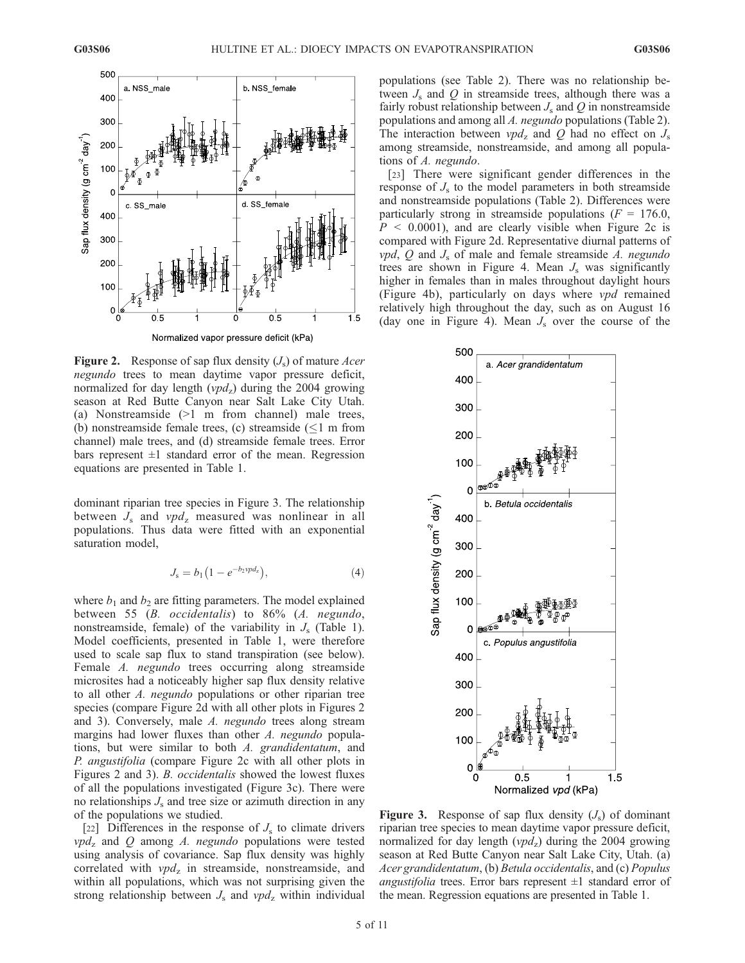

Normalized vapor pressure deficit (kPa)

**Figure 2.** Response of sap flux density  $(J_s)$  of mature Acer negundo trees to mean daytime vapor pressure deficit, normalized for day length  $(vpd<sub>z</sub>)$  during the 2004 growing season at Red Butte Canyon near Salt Lake City Utah. (a) Nonstreamside (>1 m from channel) male trees, (b) nonstreamside female trees, (c) streamside  $(\leq 1$  m from channel) male trees, and (d) streamside female trees. Error bars represent  $\pm 1$  standard error of the mean. Regression equations are presented in Table 1.

dominant riparian tree species in Figure 3. The relationship between  $J_s$  and  $vpd_7$  measured was nonlinear in all populations. Thus data were fitted with an exponential saturation model,

$$
J_{s} = b_{1} (1 - e^{-b_{2} \nu p d_{2}}), \tag{4}
$$

where  $b_1$  and  $b_2$  are fitting parameters. The model explained between 55 (B. occidentalis) to 86% (A. negundo, nonstreamside, female) of the variability in  $J_s$  (Table 1). Model coefficients, presented in Table 1, were therefore used to scale sap flux to stand transpiration (see below). Female A. negundo trees occurring along streamside microsites had a noticeably higher sap flux density relative to all other A. negundo populations or other riparian tree species (compare Figure 2d with all other plots in Figures 2 and 3). Conversely, male A. negundo trees along stream margins had lower fluxes than other A. negundo populations, but were similar to both A. grandidentatum, and P. angustifolia (compare Figure 2c with all other plots in Figures 2 and 3). B. occidentalis showed the lowest fluxes of all the populations investigated (Figure 3c). There were no relationships  $J_s$  and tree size or azimuth direction in any of the populations we studied.

[22] Differences in the response of  $J<sub>s</sub>$  to climate drivers  $vpd_z$  and Q among A. negundo populations were tested using analysis of covariance. Sap flux density was highly correlated with  $vpd_z$  in streamside, nonstreamside, and within all populations, which was not surprising given the strong relationship between  $J_s$  and  $vpd_z$  within individual populations (see Table 2). There was no relationship between  $J_s$  and  $Q$  in streamside trees, although there was a fairly robust relationship between  $J_s$  and  $Q$  in nonstreamside populations and among all A. negundo populations (Table 2). The interaction between  $vpd_z$  and Q had no effect on  $J_s$ among streamside, nonstreamside, and among all populations of A. negundo.

[23] There were significant gender differences in the response of  $J<sub>s</sub>$  to the model parameters in both streamside and nonstreamside populations (Table 2). Differences were particularly strong in streamside populations ( $F = 176.0$ ,  $P \leq 0.0001$ , and are clearly visible when Figure 2c is compared with Figure 2d. Representative diurnal patterns of *vpd*,  $Q$  and  $J_s$  of male and female streamside  $A$ . *negundo* trees are shown in Figure 4. Mean  $J_s$  was significantly higher in females than in males throughout daylight hours (Figure 4b), particularly on days where vpd remained relatively high throughout the day, such as on August 16 (day one in Figure 4). Mean  $J_s$  over the course of the



**Figure 3.** Response of sap flux density  $(J_s)$  of dominant riparian tree species to mean daytime vapor pressure deficit, normalized for day length ( $vpd_z$ ) during the 2004 growing season at Red Butte Canyon near Salt Lake City, Utah. (a) Acer grandidentatum, (b) Betula occidentalis, and (c) Populus *angustifolia* trees. Error bars represent  $\pm 1$  standard error of the mean. Regression equations are presented in Table 1.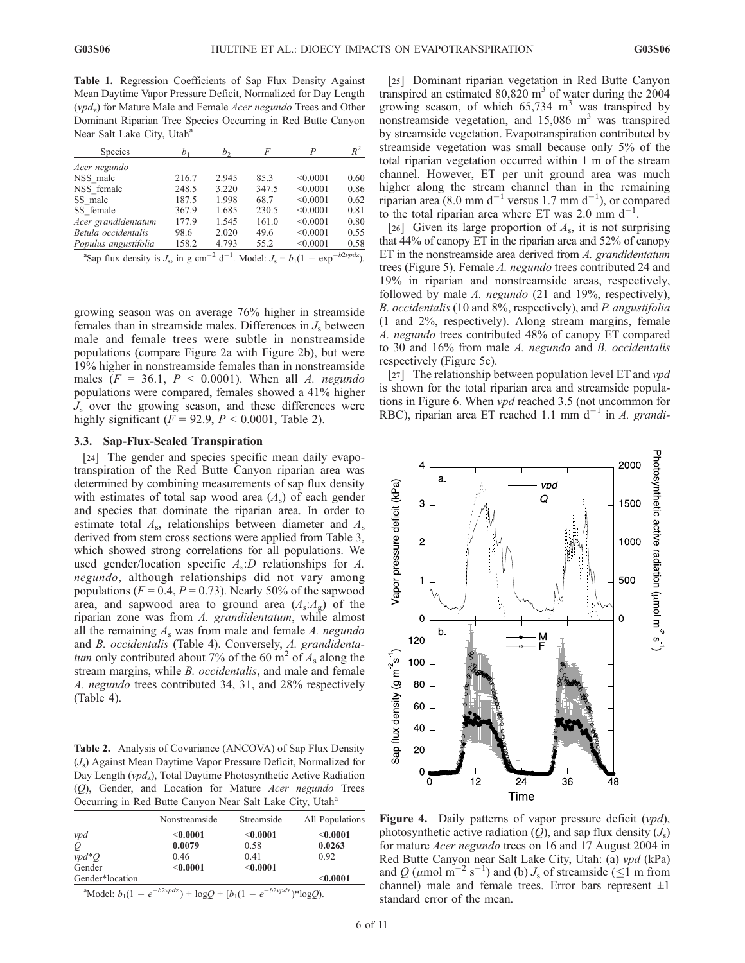Table 1. Regression Coefficients of Sap Flux Density Against Mean Daytime Vapor Pressure Deficit, Normalized for Day Length  $(vpd_z)$  for Mature Male and Female Acer negundo Trees and Other Dominant Riparian Tree Species Occurring in Red Butte Canyon Near Salt Lake City, Utah<sup>a</sup>

| Species              | b <sub>1</sub> | b,    | F                | P        | $R^2$                          |
|----------------------|----------------|-------|------------------|----------|--------------------------------|
| Acer negundo         |                |       |                  |          |                                |
| NSS male             | 216.7          | 2.945 | 85.3             | < 0.0001 | 0.60                           |
| NSS female           | 248.5          | 3.220 | 347.5            | < 0.0001 | 0.86                           |
| SS male              | 187.5          | 1.998 | 68.7             | < 0.0001 | 0.62                           |
| SS female            | 367.9          | 1.685 | 230.5            | < 0.0001 | 0.81                           |
| Acer grandidentatum  | 177.9          | 1.545 | 161.0            | < 0.0001 | 0.80                           |
| Betula occidentalis  | 98.6           | 2.020 | 49.6             | < 0.0001 | 0.55                           |
| Populus angustifolia | 158.2          | 4.793 | 55.2             | < 0.0001 | 0.58                           |
|                      |                |       | $\gamma$ 1 and 1 |          | $l_1$ $\gamma$ $l_{\text{ex}}$ |

<sup>a</sup>Sap flux density is  $J_s$ , in g cm<sup>-2</sup> d<sup>-1</sup>. Model:  $J_s = b_1(1 - \exp^{-b2\nu p dz})$ .

growing season was on average 76% higher in streamside females than in streamside males. Differences in  $J_s$  between male and female trees were subtle in nonstreamside populations (compare Figure 2a with Figure 2b), but were 19% higher in nonstreamside females than in nonstreamside males  $(F = 36.1, P < 0.0001)$ . When all A. negundo populations were compared, females showed a 41% higher  $J<sub>s</sub>$  over the growing season, and these differences were highly significant ( $F = 92.9$ ,  $P < 0.0001$ , Table 2).

## 3.3. Sap-Flux-Scaled Transpiration

[24] The gender and species specific mean daily evapotranspiration of the Red Butte Canyon riparian area was determined by combining measurements of sap flux density with estimates of total sap wood area  $(A<sub>s</sub>)$  of each gender and species that dominate the riparian area. In order to estimate total  $A_s$ , relationships between diameter and  $A_s$ derived from stem cross sections were applied from Table 3, which showed strong correlations for all populations. We used gender/location specific  $A_s$ : D relationships for A. negundo, although relationships did not vary among populations ( $F = 0.4$ ,  $P = 0.73$ ). Nearly 50% of the sapwood area, and sapwood area to ground area  $(A_s:A_g)$  of the riparian zone was from A. grandidentatum, while almost all the remaining  $A_s$  was from male and female A. negundo and B. occidentalis (Table 4). Conversely, A. grandidentatum only contributed about 7% of the 60  $m<sup>2</sup>$  of A<sub>s</sub> along the stream margins, while *B. occidentalis*, and male and female A. negundo trees contributed 34, 31, and 28% respectively (Table 4).

Table 2. Analysis of Covariance (ANCOVA) of Sap Flux Density  $(J<sub>s</sub>)$  Against Mean Daytime Vapor Pressure Deficit, Normalized for Day Length ( $vpd_z$ ), Total Daytime Photosynthetic Active Radiation (Q), Gender, and Location for Mature Acer negundo Trees Occurring in Red Butte Canyon Near Salt Lake City, Utah<sup>a</sup>

|                 | Nonstreamside | Streamside | All Populations |  |  |
|-----------------|---------------|------------|-----------------|--|--|
| ypd             | < 0.0001      | < 0.0001   | $<$ 0.0001      |  |  |
| Q               | 0.0079        | 0.58       | 0.0263          |  |  |
| $vpd*Q$         | 0.46          | 0.41       | 0.92            |  |  |
| Gender          | < 0.0001      | < 0.0001   |                 |  |  |
| Gender*location |               |            | $<$ 0.0001      |  |  |

<sup>a</sup>Model:  $b_1(1 - e^{-b2\nu p dz}) + \log Q + [b_1(1 - e^{-b2\nu p dz})^* \log Q).$ 

[25] Dominant riparian vegetation in Red Butte Canyon transpired an estimated  $80,820 \text{ m}^3$  of water during the 2004 growing season, of which  $65,734$  m<sup>3</sup> was transpired by nonstreamside vegetation, and  $15,086$  m<sup>3</sup> was transpired by streamside vegetation. Evapotranspiration contributed by streamside vegetation was small because only 5% of the total riparian vegetation occurred within 1 m of the stream channel. However, ET per unit ground area was much higher along the stream channel than in the remaining riparian area (8.0 mm d<sup>-1</sup> versus 1.7 mm d<sup>-1</sup>), or compared to the total riparian area where ET was 2.0 mm  $d^{-1}$ .

[26] Given its large proportion of  $A_s$ , it is not surprising that 44% of canopy ET in the riparian area and 52% of canopy ET in the nonstreamside area derived from A. grandidentatum trees (Figure 5). Female A. negundo trees contributed 24 and 19% in riparian and nonstreamside areas, respectively, followed by male A. negundo (21 and 19%, respectively), B. occidentalis (10 and 8%, respectively), and P. angustifolia (1 and 2%, respectively). Along stream margins, female A. negundo trees contributed 48% of canopy ET compared to 30 and 16% from male A. negundo and B. occidentalis respectively (Figure 5c).

[27] The relationship between population level ET and  $vpd$ is shown for the total riparian area and streamside populations in Figure 6. When vpd reached 3.5 (not uncommon for RBC), riparian area ET reached 1.1 mm  $d^{-1}$  in A. grandi-



Figure 4. Daily patterns of vapor pressure deficit (vpd), photosynthetic active radiation  $(Q)$ , and sap flux density  $(J_s)$ for mature *Acer negundo* trees on 16 and 17 August 2004 in Red Butte Canyon near Salt Lake City, Utah: (a) vpd (kPa) and Q ( $\mu$ mol m<sup>-2</sup> s<sup>-1</sup>) and (b)  $J_s$  of streamside ( $\leq$ 1 m from channel) male and female trees. Error bars represent  $\pm 1$ standard error of the mean.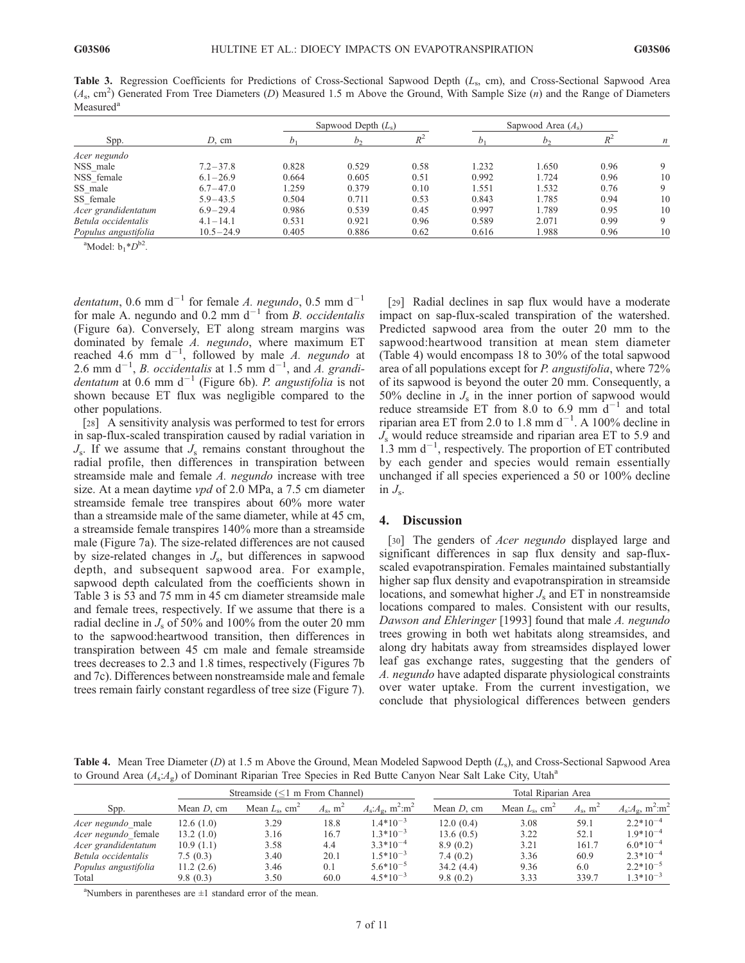Table 3. Regression Coefficients for Predictions of Cross-Sectional Sapwood Depth  $(L<sub>s</sub>, cm)$ , and Cross-Sectional Sapwood Area  $(A_s, \text{ cm}^2)$  Generated From Tree Diameters (D) Measured 1.5 m Above the Ground, With Sample Size (n) and the Range of Diameters Measured<sup>a</sup>

| Spp.                 | $D$ , cm      | Sapwood Depth $(L_s)$ |                |      | Sapwood Area $(A_s)$ |       |      |    |
|----------------------|---------------|-----------------------|----------------|------|----------------------|-------|------|----|
|                      |               |                       | h <sub>2</sub> |      |                      |       |      | n  |
| Acer negundo         |               |                       |                |      |                      |       |      |    |
| NSS male             | $7.2 - 37.8$  | 0.828                 | 0.529          | 0.58 | 1.232                | 1.650 | 0.96 | 9  |
| NSS female           | $6.1 - 26.9$  | 0.664                 | 0.605          | 0.51 | 0.992                | 1.724 | 0.96 | 10 |
| SS male              | $6.7 - 47.0$  | .259                  | 0.379          | 0.10 | 1.551                | 1.532 | 0.76 | 9  |
| SS female            | $5.9 - 43.5$  | 0.504                 | 0.711          | 0.53 | 0.843                | 1.785 | 0.94 | 10 |
| Acer grandidentatum  | $6.9 - 29.4$  | 0.986                 | 0.539          | 0.45 | 0.997                | 1.789 | 0.95 | 10 |
| Betula occidentalis  | $4.1 - 14.1$  | 0.531                 | 0.921          | 0.96 | 0.589                | 2.071 | 0.99 | 9  |
| Populus angustifolia | $10.5 - 24.9$ | 0.405                 | 0.886          | 0.62 | 0.616                | 1.988 | 0.96 | 10 |

<sup>a</sup>Model:  $b_1 * D^{b2}$ .

dentatum, 0.6 mm  $d^{-1}$  for female A. negundo, 0.5 mm  $d^{-1}$ for male A. negundo and 0.2 mm  $d^{-1}$  from B. occidentalis (Figure 6a). Conversely, ET along stream margins was dominated by female A. negundo, where maximum ET reached 4.6 mm  $d^{-1}$ , followed by male A. negundo at 2.6 mm  $d^{-1}$ , *B. occidentalis* at 1.5 mm  $d^{-1}$ , and *A. grandidentatum* at 0.6 mm  $d^{-1}$  (Figure 6b). P. angustifolia is not shown because ET flux was negligible compared to the other populations.

[28] A sensitivity analysis was performed to test for errors in sap-flux-scaled transpiration caused by radial variation in  $J_s$ . If we assume that  $J_s$  remains constant throughout the radial profile, then differences in transpiration between streamside male and female A. negundo increase with tree size. At a mean daytime *vpd* of 2.0 MPa, a 7.5 cm diameter streamside female tree transpires about 60% more water than a streamside male of the same diameter, while at 45 cm, a streamside female transpires 140% more than a streamside male (Figure 7a). The size-related differences are not caused by size-related changes in  $J_s$ , but differences in sapwood depth, and subsequent sapwood area. For example, sapwood depth calculated from the coefficients shown in Table 3 is 53 and 75 mm in 45 cm diameter streamside male and female trees, respectively. If we assume that there is a radial decline in  $J_s$  of 50% and 100% from the outer 20 mm to the sapwood:heartwood transition, then differences in transpiration between 45 cm male and female streamside trees decreases to 2.3 and 1.8 times, respectively (Figures 7b and 7c). Differences between nonstreamside male and female trees remain fairly constant regardless of tree size (Figure 7).

[29] Radial declines in sap flux would have a moderate impact on sap-flux-scaled transpiration of the watershed. Predicted sapwood area from the outer 20 mm to the sapwood:heartwood transition at mean stem diameter (Table 4) would encompass 18 to 30% of the total sapwood area of all populations except for P. angustifolia, where 72% of its sapwood is beyond the outer 20 mm. Consequently, a 50% decline in  $J_s$  in the inner portion of sapwood would reduce streamside ET from 8.0 to 6.9 mm  $d^{-1}$  and total riparian area ET from 2.0 to 1.8 mm  $d^{-1}$ . A 100% decline in  $J<sub>s</sub>$  would reduce streamside and riparian area ET to 5.9 and  $1.3$  mm d<sup>-1</sup>, respectively. The proportion of ET contributed by each gender and species would remain essentially unchanged if all species experienced a 50 or 100% decline in  $J_{\rm s}$ .

# 4. Discussion

[30] The genders of *Acer negundo* displayed large and significant differences in sap flux density and sap-fluxscaled evapotranspiration. Females maintained substantially higher sap flux density and evapotranspiration in streamside locations, and somewhat higher  $J_s$  and ET in nonstreamside locations compared to males. Consistent with our results, Dawson and Ehleringer [1993] found that male A. negundo trees growing in both wet habitats along streamsides, and along dry habitats away from streamsides displayed lower leaf gas exchange rates, suggesting that the genders of A. negundo have adapted disparate physiological constraints over water uptake. From the current investigation, we conclude that physiological differences between genders

Table 4. Mean Tree Diameter (D) at 1.5 m Above the Ground, Mean Modeled Sapwood Depth  $(L_s)$ , and Cross-Sectional Sapwood Area to Ground Area  $(A_s:A_g)$  of Dominant Riparian Tree Species in Red Butte Canyon Near Salt Lake City, Utah<sup>a</sup>

|                          | Streamside $(<1$ m From Channel) |                                    |                              |                                                | Total Riparian Area |                                    |                        |                                                     |
|--------------------------|----------------------------------|------------------------------------|------------------------------|------------------------------------------------|---------------------|------------------------------------|------------------------|-----------------------------------------------------|
| Spp.                     | Mean $D$ , cm                    | Mean $L_{\rm s}$ , cm <sup>2</sup> | $A_{\rm s}$ , m <sup>2</sup> | $A_s$ : $A_s$ , m <sup>2</sup> :m <sup>2</sup> | Mean $D$ , cm       | Mean $L_{\rm s}$ , cm <sup>2</sup> | $A_s$ , m <sup>2</sup> | $A_s$ : $A_\alpha$ , m <sup>2</sup> :m <sup>2</sup> |
| <i>Acer negundo</i> male | 12.6(1.0)                        | 3.29                               | 18.8                         | $1.4*10^{-3}$                                  | 12.0(0.4)           | 3.08                               | 59.1                   | $2.2*10^{-4}$                                       |
| Acer negundo female      | 13.2(1.0)                        | 3.16                               | 16.7                         | $1.3*10^{-3}$                                  | 13.6(0.5)           | 3.22                               | 52.1                   | $1.9*10^{-4}$                                       |
| Acer grandidentatum      | 10.9(1.1)                        | 3.58                               | 4.4                          | $3.3*10^{-4}$                                  | 8.9(0.2)            | 3.21                               | 161.7                  | $6.0*10^{-4}$                                       |
| Betula occidentalis      | 7.5(0.3)                         | 3.40                               | 20.1                         | $1.5*10^{-3}$                                  | 7.4(0.2)            | 3.36                               | 60.9                   | $2.3*10^{-4}$                                       |
| Populus angustifolia     | 11.2(2.6)                        | 3.46                               | 0.1                          | $5.6*10^{-5}$                                  | 34.2(4.4)           | 9.36                               | 6.0                    | $2.2*10^{-5}$                                       |
| Total                    | 9.8(0.3)                         | 3.50                               | 60.0                         | $4.5*10^{-3}$                                  | 9.8(0.2)            | 3.33                               | 339.7                  | $1.3*10^{-3}$                                       |

a Numbers in parentheses are ±1 standard error of the mean.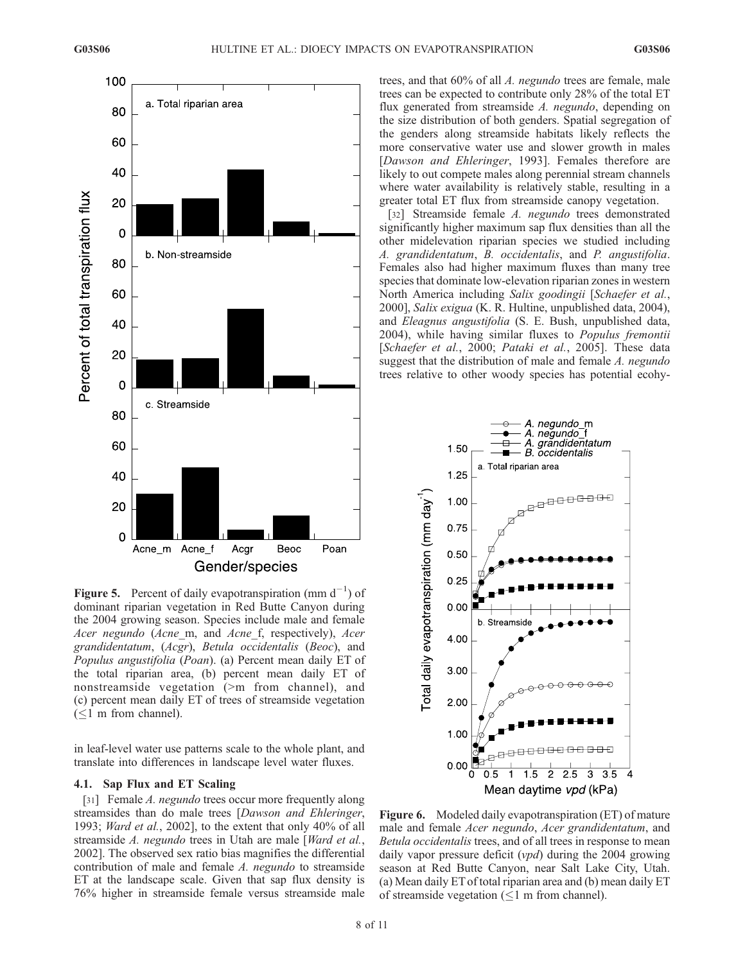

Figure 5. Percent of daily evapotranspiration (mm  $d^{-1}$ ) of dominant riparian vegetation in Red Butte Canyon during the 2004 growing season. Species include male and female Acer negundo (Acne m, and Acne f, respectively), Acer grandidentatum, (Acgr), Betula occidentalis (Beoc), and Populus angustifolia (Poan). (a) Percent mean daily ET of the total riparian area, (b) percent mean daily ET of nonstreamside vegetation (>m from channel), and (c) percent mean daily ET of trees of streamside vegetation  $(\leq)$  m from channel).

in leaf-level water use patterns scale to the whole plant, and translate into differences in landscape level water fluxes.

## 4.1. Sap Flux and ET Scaling

[31] Female *A. negundo* trees occur more frequently along streamsides than do male trees [Dawson and Ehleringer, 1993; Ward et al., 2002], to the extent that only 40% of all streamside A. negundo trees in Utah are male [Ward et al., 2002]. The observed sex ratio bias magnifies the differential contribution of male and female A. negundo to streamside ET at the landscape scale. Given that sap flux density is 76% higher in streamside female versus streamside male

trees, and that 60% of all A. negundo trees are female, male trees can be expected to contribute only 28% of the total ET flux generated from streamside A. negundo, depending on the size distribution of both genders. Spatial segregation of the genders along streamside habitats likely reflects the more conservative water use and slower growth in males [Dawson and Ehleringer, 1993]. Females therefore are likely to out compete males along perennial stream channels where water availability is relatively stable, resulting in a greater total ET flux from streamside canopy vegetation.

[32] Streamside female A. negundo trees demonstrated significantly higher maximum sap flux densities than all the other midelevation riparian species we studied including A. grandidentatum, B. occidentalis, and P. angustifolia. Females also had higher maximum fluxes than many tree species that dominate low-elevation riparian zones in western North America including Salix goodingii [Schaefer et al., 2000], Salix exigua (K. R. Hultine, unpublished data, 2004), and Eleagnus angustifolia (S. E. Bush, unpublished data, 2004), while having similar fluxes to Populus fremontii [Schaefer et al., 2000; Pataki et al., 2005]. These data suggest that the distribution of male and female A. negundo trees relative to other woody species has potential ecohy-



Figure 6. Modeled daily evapotranspiration (ET) of mature male and female Acer negundo, Acer grandidentatum, and Betula occidentalis trees, and of all trees in response to mean daily vapor pressure deficit  $(vpd)$  during the 2004 growing season at Red Butte Canyon, near Salt Lake City, Utah. (a) Mean daily ET of total riparian area and (b) mean daily ET of streamside vegetation  $(\leq 1$  m from channel).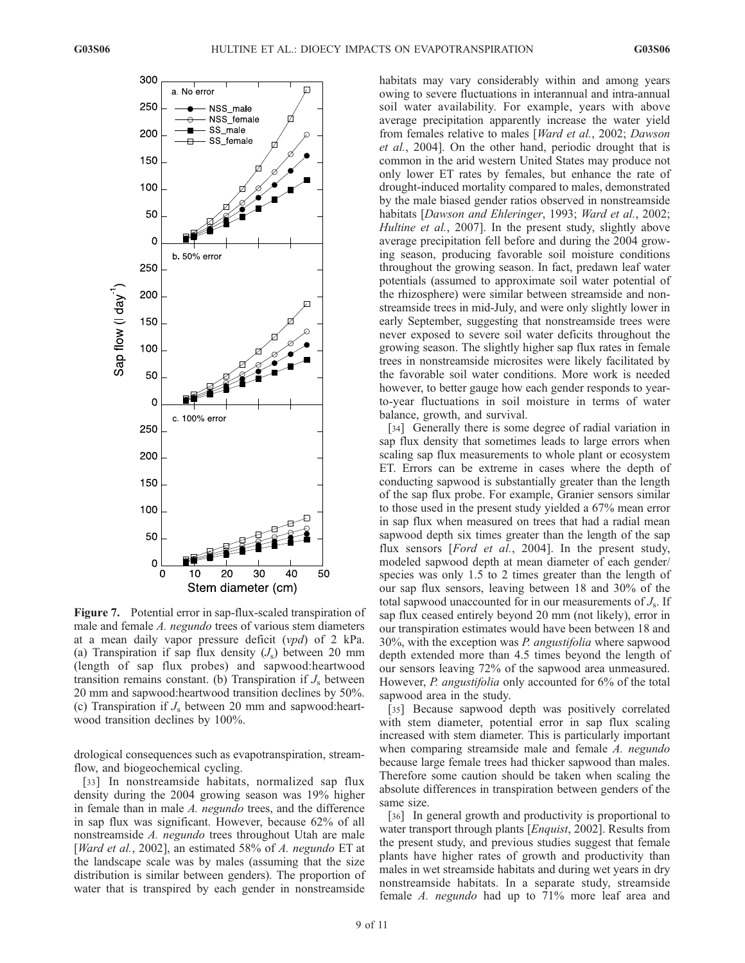

Figure 7. Potential error in sap-flux-scaled transpiration of male and female A. negundo trees of various stem diameters at a mean daily vapor pressure deficit  $(vpd)$  of 2 kPa. (a) Transpiration if sap flux density  $(J<sub>s</sub>)$  between 20 mm (length of sap flux probes) and sapwood:heartwood transition remains constant. (b) Transpiration if  $J<sub>s</sub>$  between 20 mm and sapwood:heartwood transition declines by 50%. (c) Transpiration if  $J_s$  between 20 mm and sapwood:heartwood transition declines by 100%.

drological consequences such as evapotranspiration, streamflow, and biogeochemical cycling.

[33] In nonstreamside habitats, normalized sap flux density during the 2004 growing season was 19% higher in female than in male A. negundo trees, and the difference in sap flux was significant. However, because 62% of all nonstreamside A. negundo trees throughout Utah are male [Ward et al., 2002], an estimated 58% of A. negundo ET at the landscape scale was by males (assuming that the size distribution is similar between genders). The proportion of water that is transpired by each gender in nonstreamside

habitats may vary considerably within and among years owing to severe fluctuations in interannual and intra-annual soil water availability. For example, years with above average precipitation apparently increase the water yield from females relative to males [Ward et al., 2002; Dawson et al., 2004]. On the other hand, periodic drought that is common in the arid western United States may produce not only lower ET rates by females, but enhance the rate of drought-induced mortality compared to males, demonstrated by the male biased gender ratios observed in nonstreamside habitats [Dawson and Ehleringer, 1993; Ward et al., 2002; Hultine et al., 2007]. In the present study, slightly above average precipitation fell before and during the 2004 growing season, producing favorable soil moisture conditions throughout the growing season. In fact, predawn leaf water potentials (assumed to approximate soil water potential of the rhizosphere) were similar between streamside and nonstreamside trees in mid-July, and were only slightly lower in early September, suggesting that nonstreamside trees were never exposed to severe soil water deficits throughout the growing season. The slightly higher sap flux rates in female trees in nonstreamside microsites were likely facilitated by the favorable soil water conditions. More work is needed however, to better gauge how each gender responds to yearto-year fluctuations in soil moisture in terms of water balance, growth, and survival.

[34] Generally there is some degree of radial variation in sap flux density that sometimes leads to large errors when scaling sap flux measurements to whole plant or ecosystem ET. Errors can be extreme in cases where the depth of conducting sapwood is substantially greater than the length of the sap flux probe. For example, Granier sensors similar to those used in the present study yielded a 67% mean error in sap flux when measured on trees that had a radial mean sapwood depth six times greater than the length of the sap flux sensors [*Ford et al.*, 2004]. In the present study, modeled sapwood depth at mean diameter of each gender/ species was only 1.5 to 2 times greater than the length of our sap flux sensors, leaving between 18 and 30% of the total sapwood unaccounted for in our measurements of  $J_s$ . If sap flux ceased entirely beyond 20 mm (not likely), error in our transpiration estimates would have been between 18 and 30%, with the exception was P. angustifolia where sapwood depth extended more than 4.5 times beyond the length of our sensors leaving 72% of the sapwood area unmeasured. However, P. angustifolia only accounted for 6% of the total sapwood area in the study.

[35] Because sapwood depth was positively correlated with stem diameter, potential error in sap flux scaling increased with stem diameter. This is particularly important when comparing streamside male and female A. negundo because large female trees had thicker sapwood than males. Therefore some caution should be taken when scaling the absolute differences in transpiration between genders of the same size.

[36] In general growth and productivity is proportional to water transport through plants [Enquist, 2002]. Results from the present study, and previous studies suggest that female plants have higher rates of growth and productivity than males in wet streamside habitats and during wet years in dry nonstreamside habitats. In a separate study, streamside female A. negundo had up to 71% more leaf area and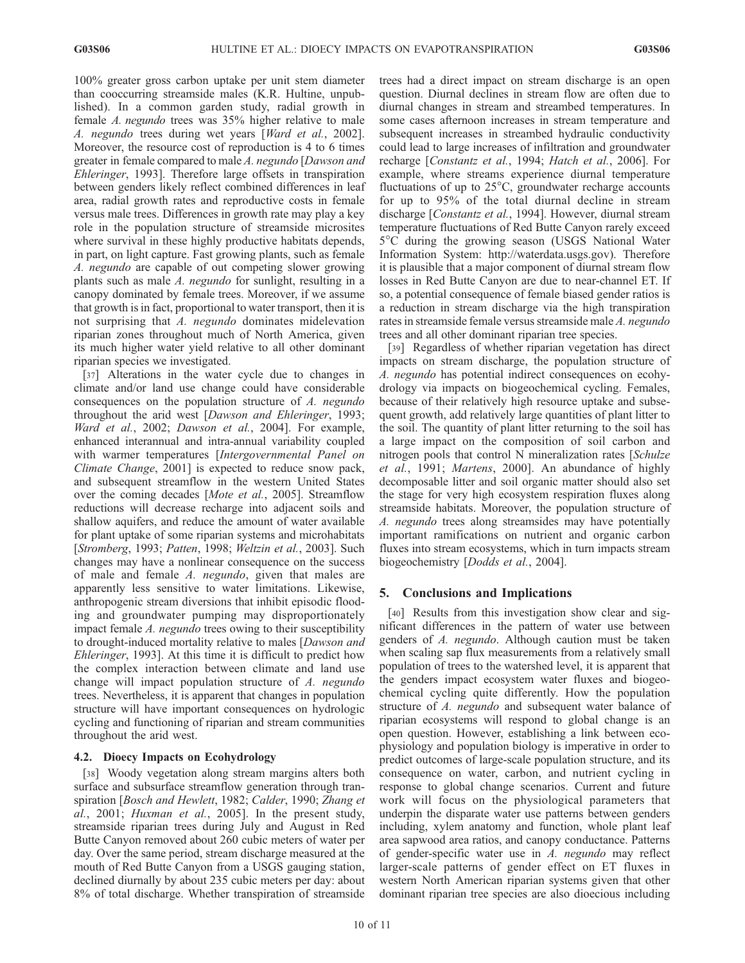100% greater gross carbon uptake per unit stem diameter than cooccurring streamside males (K.R. Hultine, unpublished). In a common garden study, radial growth in female A. negundo trees was 35% higher relative to male A. negundo trees during wet years [Ward et al., 2002]. Moreover, the resource cost of reproduction is 4 to 6 times greater in female compared to male A. negundo [Dawson and Ehleringer, 1993]. Therefore large offsets in transpiration between genders likely reflect combined differences in leaf area, radial growth rates and reproductive costs in female versus male trees. Differences in growth rate may play a key role in the population structure of streamside microsites where survival in these highly productive habitats depends, in part, on light capture. Fast growing plants, such as female A. negundo are capable of out competing slower growing plants such as male A. negundo for sunlight, resulting in a canopy dominated by female trees. Moreover, if we assume that growth is in fact, proportional to water transport, then it is not surprising that A. negundo dominates midelevation riparian zones throughout much of North America, given its much higher water yield relative to all other dominant riparian species we investigated.

[37] Alterations in the water cycle due to changes in climate and/or land use change could have considerable consequences on the population structure of A. negundo throughout the arid west [Dawson and Ehleringer, 1993; Ward et al., 2002; Dawson et al., 2004]. For example, enhanced interannual and intra-annual variability coupled with warmer temperatures [Intergovernmental Panel on Climate Change, 2001] is expected to reduce snow pack, and subsequent streamflow in the western United States over the coming decades [Mote et al., 2005]. Streamflow reductions will decrease recharge into adjacent soils and shallow aquifers, and reduce the amount of water available for plant uptake of some riparian systems and microhabitats [Stromberg, 1993; Patten, 1998; Weltzin et al., 2003]. Such changes may have a nonlinear consequence on the success of male and female A. negundo, given that males are apparently less sensitive to water limitations. Likewise, anthropogenic stream diversions that inhibit episodic flooding and groundwater pumping may disproportionately impact female A. negundo trees owing to their susceptibility to drought-induced mortality relative to males [Dawson and Ehleringer, 1993]. At this time it is difficult to predict how the complex interaction between climate and land use change will impact population structure of A. negundo trees. Nevertheless, it is apparent that changes in population structure will have important consequences on hydrologic cycling and functioning of riparian and stream communities throughout the arid west.

## 4.2. Dioecy Impacts on Ecohydrology

[38] Woody vegetation along stream margins alters both surface and subsurface streamflow generation through transpiration [Bosch and Hewlett, 1982; Calder, 1990; Zhang et al., 2001; Huxman et al., 2005]. In the present study, streamside riparian trees during July and August in Red Butte Canyon removed about 260 cubic meters of water per day. Over the same period, stream discharge measured at the mouth of Red Butte Canyon from a USGS gauging station, declined diurnally by about 235 cubic meters per day: about 8% of total discharge. Whether transpiration of streamside

trees had a direct impact on stream discharge is an open question. Diurnal declines in stream flow are often due to diurnal changes in stream and streambed temperatures. In some cases afternoon increases in stream temperature and subsequent increases in streambed hydraulic conductivity could lead to large increases of infiltration and groundwater recharge [Constantz et al., 1994; Hatch et al., 2006]. For example, where streams experience diurnal temperature fluctuations of up to  $25^{\circ}$ C, groundwater recharge accounts for up to 95% of the total diurnal decline in stream discharge [Constantz et al., 1994]. However, diurnal stream temperature fluctuations of Red Butte Canyon rarely exceed 5C during the growing season (USGS National Water Information System: http://waterdata.usgs.gov). Therefore it is plausible that a major component of diurnal stream flow losses in Red Butte Canyon are due to near-channel ET. If so, a potential consequence of female biased gender ratios is a reduction in stream discharge via the high transpiration rates in streamside female versus streamside male A. negundo trees and all other dominant riparian tree species.

[39] Regardless of whether riparian vegetation has direct impacts on stream discharge, the population structure of A. negundo has potential indirect consequences on ecohydrology via impacts on biogeochemical cycling. Females, because of their relatively high resource uptake and subsequent growth, add relatively large quantities of plant litter to the soil. The quantity of plant litter returning to the soil has a large impact on the composition of soil carbon and nitrogen pools that control N mineralization rates [Schulze et al., 1991; Martens, 2000]. An abundance of highly decomposable litter and soil organic matter should also set the stage for very high ecosystem respiration fluxes along streamside habitats. Moreover, the population structure of A. negundo trees along streamsides may have potentially important ramifications on nutrient and organic carbon fluxes into stream ecosystems, which in turn impacts stream biogeochemistry [Dodds et al., 2004].

## 5. Conclusions and Implications

[40] Results from this investigation show clear and significant differences in the pattern of water use between genders of A. negundo. Although caution must be taken when scaling sap flux measurements from a relatively small population of trees to the watershed level, it is apparent that the genders impact ecosystem water fluxes and biogeochemical cycling quite differently. How the population structure of A. negundo and subsequent water balance of riparian ecosystems will respond to global change is an open question. However, establishing a link between ecophysiology and population biology is imperative in order to predict outcomes of large-scale population structure, and its consequence on water, carbon, and nutrient cycling in response to global change scenarios. Current and future work will focus on the physiological parameters that underpin the disparate water use patterns between genders including, xylem anatomy and function, whole plant leaf area sapwood area ratios, and canopy conductance. Patterns of gender-specific water use in A. negundo may reflect larger-scale patterns of gender effect on ET fluxes in western North American riparian systems given that other dominant riparian tree species are also dioecious including